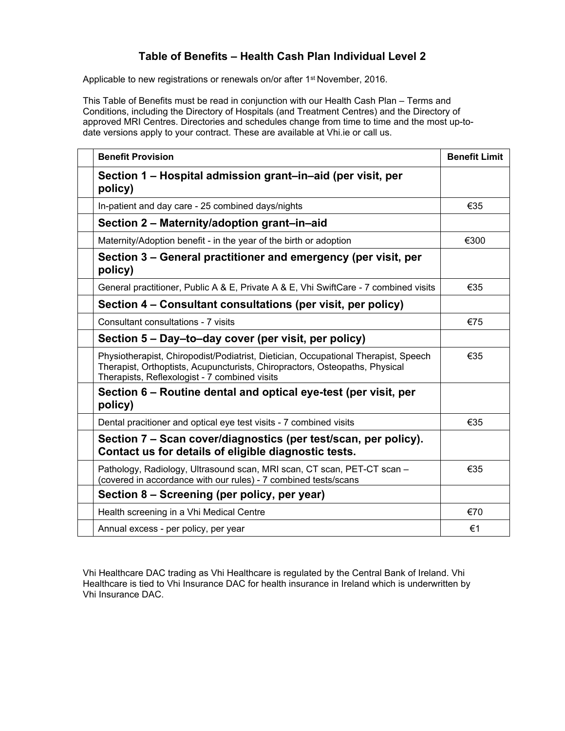## **Table of Benefits – Health Cash Plan Individual Level 2**

Applicable to new registrations or renewals on/or after 1<sup>st</sup> November, 2016.

This Table of Benefits must be read in conjunction with our Health Cash Plan – Terms and Conditions, including the Directory of Hospitals (and Treatment Centres) and the Directory of approved MRI Centres. Directories and schedules change from time to time and the most up-todate versions apply to your contract. These are available at Vhi.ie or call us.

| <b>Benefit Provision</b>                                                                                                                                                                                           | <b>Benefit Limit</b> |
|--------------------------------------------------------------------------------------------------------------------------------------------------------------------------------------------------------------------|----------------------|
| Section 1 – Hospital admission grant–in–aid (per visit, per<br>policy)                                                                                                                                             |                      |
| In-patient and day care - 25 combined days/nights                                                                                                                                                                  | €35                  |
| Section 2 - Maternity/adoption grant-in-aid                                                                                                                                                                        |                      |
| Maternity/Adoption benefit - in the year of the birth or adoption                                                                                                                                                  | €300                 |
| Section 3 – General practitioner and emergency (per visit, per<br>policy)                                                                                                                                          |                      |
| General practitioner, Public A & E, Private A & E, Vhi SwiftCare - 7 combined visits                                                                                                                               | €35                  |
| Section 4 - Consultant consultations (per visit, per policy)                                                                                                                                                       |                      |
| Consultant consultations - 7 visits                                                                                                                                                                                | €75                  |
| Section 5 – Day–to–day cover (per visit, per policy)                                                                                                                                                               |                      |
| Physiotherapist, Chiropodist/Podiatrist, Dietician, Occupational Therapist, Speech<br>Therapist, Orthoptists, Acupuncturists, Chiropractors, Osteopaths, Physical<br>Therapists, Reflexologist - 7 combined visits | €35                  |
| Section 6 – Routine dental and optical eye-test (per visit, per<br>policy)                                                                                                                                         |                      |
| Dental pracitioner and optical eye test visits - 7 combined visits                                                                                                                                                 | €35                  |
| Section 7 – Scan cover/diagnostics (per test/scan, per policy).<br>Contact us for details of eligible diagnostic tests.                                                                                            |                      |
| Pathology, Radiology, Ultrasound scan, MRI scan, CT scan, PET-CT scan -<br>(covered in accordance with our rules) - 7 combined tests/scans                                                                         | €35                  |
| Section 8 – Screening (per policy, per year)                                                                                                                                                                       |                      |
| Health screening in a Vhi Medical Centre                                                                                                                                                                           | €70                  |
| Annual excess - per policy, per year                                                                                                                                                                               | €1                   |

Vhi Healthcare DAC trading as Vhi Healthcare is regulated by the Central Bank of Ireland. Vhi Healthcare is tied to Vhi Insurance DAC for health insurance in Ireland which is underwritten by Vhi Insurance DAC.